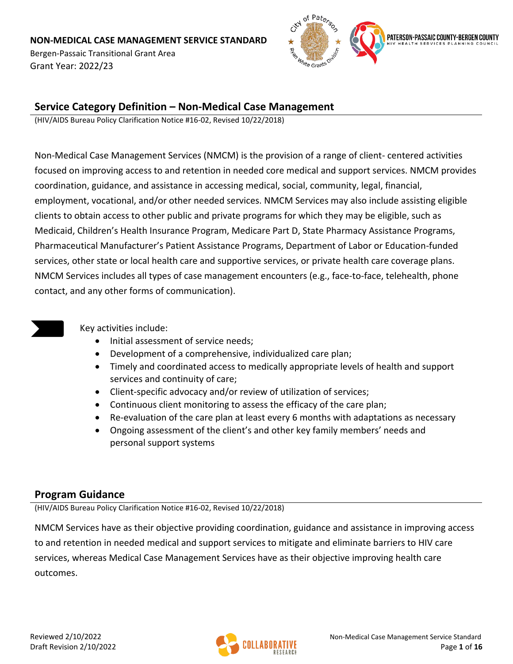Bergen-Passaic Transitional Grant Area Grant Year: 2022/23



## **Service Category Definition – Non-Medical Case Management**

(HIV/AIDS Bureau Policy Clarification Notice #16-02, Revised 10/22/2018)

Non-Medical Case Management Services (NMCM) is the provision of a range of client- centered activities focused on improving access to and retention in needed core medical and support services. NMCM provides coordination, guidance, and assistance in accessing medical, social, community, legal, financial, employment, vocational, and/or other needed services. NMCM Services may also include assisting eligible clients to obtain access to other public and private programs for which they may be eligible, such as Medicaid, Children's Health Insurance Program, Medicare Part D, State Pharmacy Assistance Programs, Pharmaceutical Manufacturer's Patient Assistance Programs, Department of Labor or Education-funded services, other state or local health care and supportive services, or private health care coverage plans. NMCM Services includes all types of case management encounters (e.g., face-to-face, telehealth, phone contact, and any other forms of communication).



Key activities include:

- Initial assessment of service needs;
- Development of a comprehensive, individualized care plan;
- Timely and coordinated access to medically appropriate levels of health and support services and continuity of care;
- Client-specific advocacy and/or review of utilization of services;
- Continuous client monitoring to assess the efficacy of the care plan;
- Re-evaluation of the care plan at least every 6 months with adaptations as necessary
- Ongoing assessment of the client's and other key family members' needs and personal support systems

## **Program Guidance**

(HIV/AIDS Bureau Policy Clarification Notice #16-02, Revised 10/22/2018)

NMCM Services have as their objective providing coordination, guidance and assistance in improving access to and retention in needed medical and support services to mitigate and eliminate barriers to HIV care services, whereas Medical Case Management Services have as their objective improving health care outcomes.

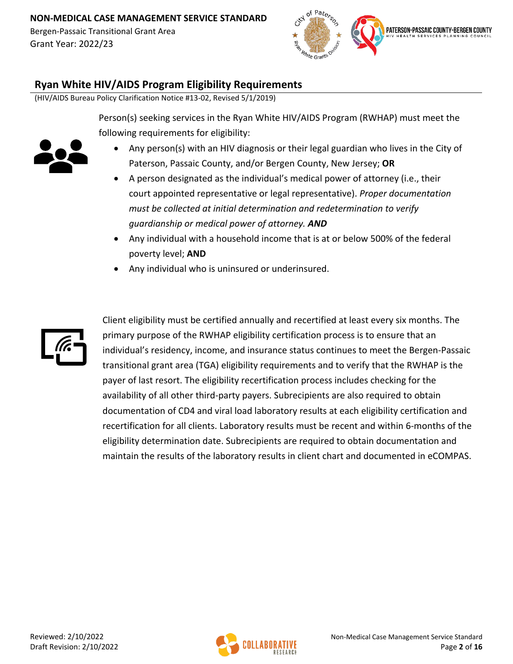

## **Ryan White HIV/AIDS Program Eligibility Requirements**

(HIV/AIDS Bureau Policy Clarification Notice #13-02, Revised 5/1/2019)

Person(s) seeking services in the Ryan White HIV/AIDS Program (RWHAP) must meet the following requirements for eligibility:



- Any person(s) with an HIV diagnosis or their legal guardian who lives in the City of Paterson, Passaic County, and/or Bergen County, New Jersey; **OR**
- A person designated as the individual's medical power of attorney (i.e., their court appointed representative or legal representative). *Proper documentation must be collected at initial determination and redetermination to verify guardianship or medical power of attorney. AND*
- Any individual with a household income that is at or below 500% of the federal poverty level; **AND**
- Any individual who is uninsured or underinsured.



Client eligibility must be certified annually and recertified at least every six months. The primary purpose of the RWHAP eligibility certification process is to ensure that an individual's residency, income, and insurance status continues to meet the Bergen-Passaic transitional grant area (TGA) eligibility requirements and to verify that the RWHAP is the payer of last resort. The eligibility recertification process includes checking for the availability of all other third-party payers. Subrecipients are also required to obtain documentation of CD4 and viral load laboratory results at each eligibility certification and recertification for all clients. Laboratory results must be recent and within 6-months of the eligibility determination date. Subrecipients are required to obtain documentation and maintain the results of the laboratory results in client chart and documented in eCOMPAS.

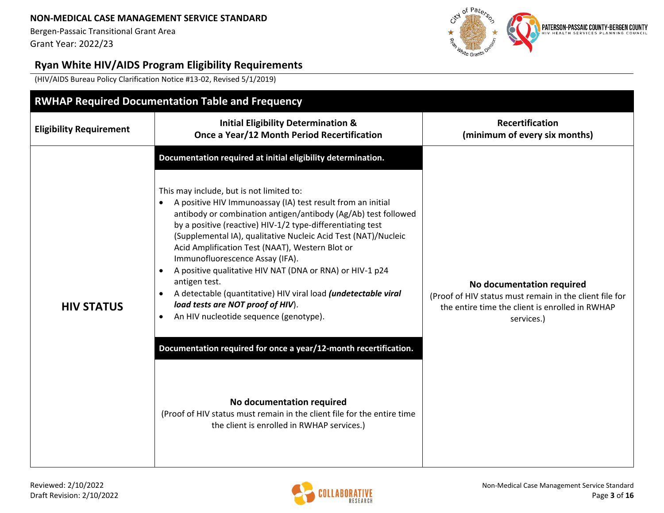Bergen-Passaic Transitional Grant Area Grant Year: 2022/23



# **Ryan White HIV/AIDS Program Eligibility Requirements**

(HIV/AIDS Bureau Policy Clarification Notice #13-02, Revised 5/1/2019)

|                                | <b>RWHAP Required Documentation Table and Frequency</b>                                                                                                                                                                                                                                                                                                                                                                                                                                                                                                                                                                                                                                                                                                                                                                                                                                                                              |                                                                                                                                                       |  |  |  |  |
|--------------------------------|--------------------------------------------------------------------------------------------------------------------------------------------------------------------------------------------------------------------------------------------------------------------------------------------------------------------------------------------------------------------------------------------------------------------------------------------------------------------------------------------------------------------------------------------------------------------------------------------------------------------------------------------------------------------------------------------------------------------------------------------------------------------------------------------------------------------------------------------------------------------------------------------------------------------------------------|-------------------------------------------------------------------------------------------------------------------------------------------------------|--|--|--|--|
| <b>Eligibility Requirement</b> | <b>Initial Eligibility Determination &amp;</b><br>Once a Year/12 Month Period Recertification                                                                                                                                                                                                                                                                                                                                                                                                                                                                                                                                                                                                                                                                                                                                                                                                                                        | <b>Recertification</b><br>(minimum of every six months)                                                                                               |  |  |  |  |
| <b>HIV STATUS</b>              | Documentation required at initial eligibility determination.<br>This may include, but is not limited to:<br>A positive HIV Immunoassay (IA) test result from an initial<br>antibody or combination antigen/antibody (Ag/Ab) test followed<br>by a positive (reactive) HIV-1/2 type-differentiating test<br>(Supplemental IA), qualitative Nucleic Acid Test (NAT)/Nucleic<br>Acid Amplification Test (NAAT), Western Blot or<br>Immunofluorescence Assay (IFA).<br>A positive qualitative HIV NAT (DNA or RNA) or HIV-1 p24<br>antigen test.<br>A detectable (quantitative) HIV viral load (undetectable viral<br>load tests are NOT proof of HIV).<br>An HIV nucleotide sequence (genotype).<br>$\bullet$<br>Documentation required for once a year/12-month recertification.<br>No documentation required<br>(Proof of HIV status must remain in the client file for the entire time<br>the client is enrolled in RWHAP services.) | No documentation required<br>(Proof of HIV status must remain in the client file for<br>the entire time the client is enrolled in RWHAP<br>services.) |  |  |  |  |

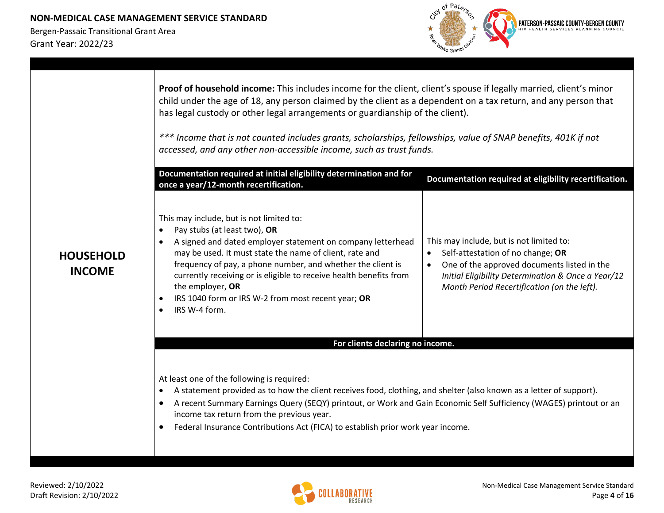

|                                   | Proof of household income: This includes income for the client, client's spouse if legally married, client's minor<br>child under the age of 18, any person claimed by the client as a dependent on a tax return, and any person that<br>has legal custody or other legal arrangements or guardianship of the client).<br>*** Income that is not counted includes grants, scholarships, fellowships, value of SNAP benefits, 401K if not<br>accessed, and any other non-accessible income, such as trust funds.<br>Documentation required at initial eligibility determination and for<br>once a year/12-month recertification. | Documentation required at eligibility recertification.                                                                                                                                                                            |
|-----------------------------------|---------------------------------------------------------------------------------------------------------------------------------------------------------------------------------------------------------------------------------------------------------------------------------------------------------------------------------------------------------------------------------------------------------------------------------------------------------------------------------------------------------------------------------------------------------------------------------------------------------------------------------|-----------------------------------------------------------------------------------------------------------------------------------------------------------------------------------------------------------------------------------|
| <b>HOUSEHOLD</b><br><b>INCOME</b> | This may include, but is not limited to:<br>Pay stubs (at least two), OR<br>$\bullet$<br>A signed and dated employer statement on company letterhead<br>$\bullet$<br>may be used. It must state the name of client, rate and<br>frequency of pay, a phone number, and whether the client is<br>currently receiving or is eligible to receive health benefits from<br>the employer, OR<br>IRS 1040 form or IRS W-2 from most recent year; OR<br>IRS W-4 form.<br>$\bullet$                                                                                                                                                       | This may include, but is not limited to:<br>Self-attestation of no change; OR<br>One of the approved documents listed in the<br>Initial Eligibility Determination & Once a Year/12<br>Month Period Recertification (on the left). |
|                                   | For clients declaring no income.                                                                                                                                                                                                                                                                                                                                                                                                                                                                                                                                                                                                |                                                                                                                                                                                                                                   |
|                                   | At least one of the following is required:<br>A statement provided as to how the client receives food, clothing, and shelter (also known as a letter of support).<br>$\bullet$<br>A recent Summary Earnings Query (SEQY) printout, or Work and Gain Economic Self Sufficiency (WAGES) printout or an<br>income tax return from the previous year.<br>Federal Insurance Contributions Act (FICA) to establish prior work year income.                                                                                                                                                                                            |                                                                                                                                                                                                                                   |

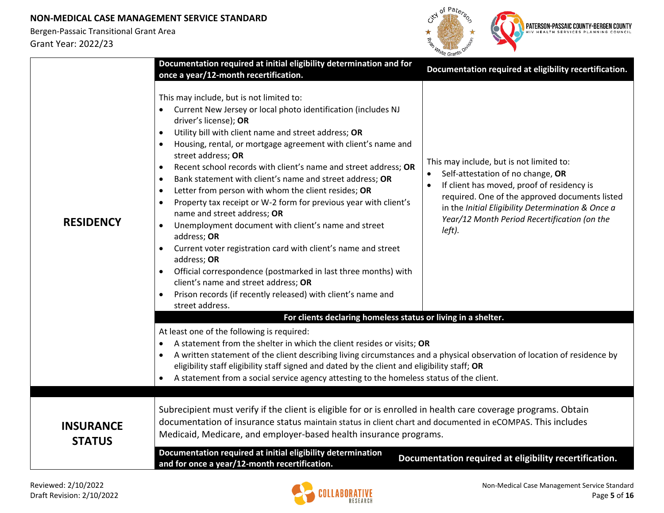

|                                   | Documentation required at initial eligibility determination and for<br>once a year/12-month recertification.                                                                                                                                                                                                                                                                                                                                                                                                                                                                                                                                                                                                                                                                                                                                                                                                                                                                                                  | Documentation required at eligibility recertification.                                                                                                                                                                                                                                                    |
|-----------------------------------|---------------------------------------------------------------------------------------------------------------------------------------------------------------------------------------------------------------------------------------------------------------------------------------------------------------------------------------------------------------------------------------------------------------------------------------------------------------------------------------------------------------------------------------------------------------------------------------------------------------------------------------------------------------------------------------------------------------------------------------------------------------------------------------------------------------------------------------------------------------------------------------------------------------------------------------------------------------------------------------------------------------|-----------------------------------------------------------------------------------------------------------------------------------------------------------------------------------------------------------------------------------------------------------------------------------------------------------|
| <b>RESIDENCY</b>                  | This may include, but is not limited to:<br>• Current New Jersey or local photo identification (includes NJ<br>driver's license); OR<br>Utility bill with client name and street address; OR<br>$\bullet$<br>Housing, rental, or mortgage agreement with client's name and<br>street address; OR<br>Recent school records with client's name and street address; OR<br>$\bullet$<br>Bank statement with client's name and street address; OR<br>$\bullet$<br>Letter from person with whom the client resides; OR<br>$\bullet$<br>Property tax receipt or W-2 form for previous year with client's<br>$\bullet$<br>name and street address; OR<br>Unemployment document with client's name and street<br>$\bullet$<br>address; OR<br>Current voter registration card with client's name and street<br>address; OR<br>Official correspondence (postmarked in last three months) with<br>client's name and street address; OR<br>Prison records (if recently released) with client's name and<br>street address. | This may include, but is not limited to:<br>Self-attestation of no change, OR<br>If client has moved, proof of residency is<br>$\bullet$<br>required. One of the approved documents listed<br>in the Initial Eligibility Determination & Once a<br>Year/12 Month Period Recertification (on the<br>left). |
|                                   | For clients declaring homeless status or living in a shelter.<br>At least one of the following is required:<br>A statement from the shelter in which the client resides or visits; OR<br>A written statement of the client describing living circumstances and a physical observation of location of residence by<br>eligibility staff eligibility staff signed and dated by the client and eligibility staff; OR<br>A statement from a social service agency attesting to the homeless status of the client.                                                                                                                                                                                                                                                                                                                                                                                                                                                                                                 |                                                                                                                                                                                                                                                                                                           |
| <b>INSURANCE</b><br><b>STATUS</b> | Subrecipient must verify if the client is eligible for or is enrolled in health care coverage programs. Obtain<br>documentation of insurance status maintain status in client chart and documented in eCOMPAS. This includes<br>Medicaid, Medicare, and employer-based health insurance programs.                                                                                                                                                                                                                                                                                                                                                                                                                                                                                                                                                                                                                                                                                                             |                                                                                                                                                                                                                                                                                                           |
|                                   | Documentation required at initial eligibility determination<br>and for once a year/12-month recertification.                                                                                                                                                                                                                                                                                                                                                                                                                                                                                                                                                                                                                                                                                                                                                                                                                                                                                                  | Documentation required at eligibility recertification.                                                                                                                                                                                                                                                    |

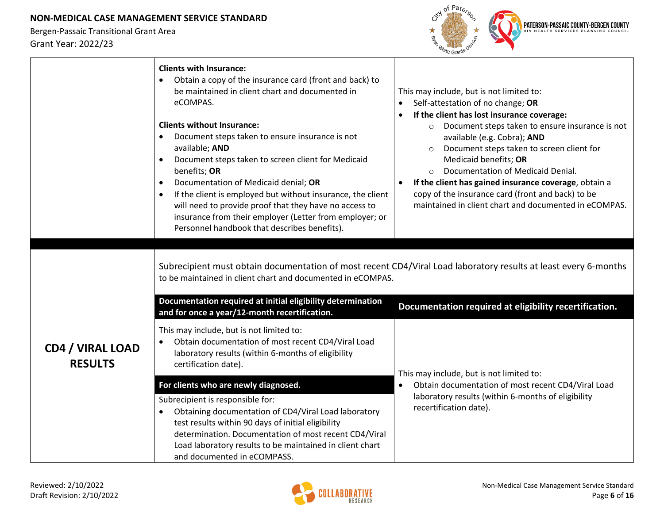

|                                           | <b>Clients with Insurance:</b><br>Obtain a copy of the insurance card (front and back) to<br>be maintained in client chart and documented in<br>eCOMPAS.<br><b>Clients without Insurance:</b><br>Document steps taken to ensure insurance is not<br>available; AND<br>Document steps taken to screen client for Medicaid<br>benefits; OR<br>Documentation of Medicaid denial; OR<br>$\bullet$<br>If the client is employed but without insurance, the client<br>$\bullet$<br>will need to provide proof that they have no access to<br>insurance from their employer (Letter from employer; or<br>Personnel handbook that describes benefits). | This may include, but is not limited to:<br>Self-attestation of no change; OR<br>$\bullet$<br>If the client has lost insurance coverage:<br>$\bullet$<br>Document steps taken to ensure insurance is not<br>$\circ$<br>available (e.g. Cobra); AND<br>Document steps taken to screen client for<br>Medicaid benefits; OR<br>Documentation of Medicaid Denial.<br>If the client has gained insurance coverage, obtain a<br>copy of the insurance card (front and back) to be<br>maintained in client chart and documented in eCOMPAS. |
|-------------------------------------------|------------------------------------------------------------------------------------------------------------------------------------------------------------------------------------------------------------------------------------------------------------------------------------------------------------------------------------------------------------------------------------------------------------------------------------------------------------------------------------------------------------------------------------------------------------------------------------------------------------------------------------------------|--------------------------------------------------------------------------------------------------------------------------------------------------------------------------------------------------------------------------------------------------------------------------------------------------------------------------------------------------------------------------------------------------------------------------------------------------------------------------------------------------------------------------------------|
|                                           | to be maintained in client chart and documented in eCOMPAS.<br>Documentation required at initial eligibility determination<br>and for once a year/12-month recertification.                                                                                                                                                                                                                                                                                                                                                                                                                                                                    | Subrecipient must obtain documentation of most recent CD4/Viral Load laboratory results at least every 6-months<br>Documentation required at eligibility recertification.                                                                                                                                                                                                                                                                                                                                                            |
| <b>CD4 / VIRAL LOAD</b><br><b>RESULTS</b> | This may include, but is not limited to:<br>Obtain documentation of most recent CD4/Viral Load<br>$\bullet$<br>laboratory results (within 6-months of eligibility<br>certification date).                                                                                                                                                                                                                                                                                                                                                                                                                                                      | This may include, but is not limited to:                                                                                                                                                                                                                                                                                                                                                                                                                                                                                             |
|                                           | For clients who are newly diagnosed.                                                                                                                                                                                                                                                                                                                                                                                                                                                                                                                                                                                                           | Obtain documentation of most recent CD4/Viral Load<br>$\bullet$                                                                                                                                                                                                                                                                                                                                                                                                                                                                      |
|                                           | Subrecipient is responsible for:<br>Obtaining documentation of CD4/Viral Load laboratory<br>$\bullet$<br>test results within 90 days of initial eligibility<br>determination. Documentation of most recent CD4/Viral<br>Load laboratory results to be maintained in client chart<br>and documented in eCOMPASS.                                                                                                                                                                                                                                                                                                                                | laboratory results (within 6-months of eligibility<br>recertification date).                                                                                                                                                                                                                                                                                                                                                                                                                                                         |

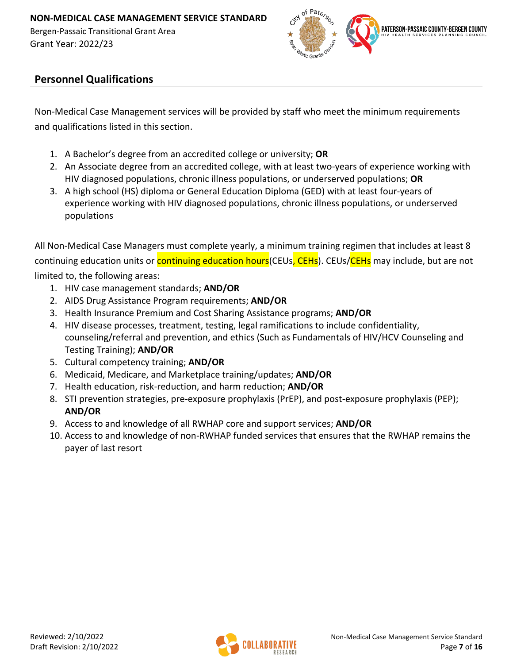

## **Personnel Qualifications**

Non-Medical Case Management services will be provided by staff who meet the minimum requirements and qualifications listed in this section.

- 1. A Bachelor's degree from an accredited college or university; **OR**
- 2. An Associate degree from an accredited college, with at least two-years of experience working with HIV diagnosed populations, chronic illness populations, or underserved populations; **OR**
- 3. A high school (HS) diploma or General Education Diploma (GED) with at least four-years of experience working with HIV diagnosed populations, chronic illness populations, or underserved populations

All Non-Medical Case Managers must complete yearly, a minimum training regimen that includes at least 8 continuing education units or **continuing education hours** (CEUs, CEHs). CEUs/CEHs may include, but are not limited to, the following areas:

- 1. HIV case management standards; **AND/OR**
- 2. AIDS Drug Assistance Program requirements; **AND/OR**
- 3. Health Insurance Premium and Cost Sharing Assistance programs; **AND/OR**
- 4. HIV disease processes, treatment, testing, legal ramifications to include confidentiality, counseling/referral and prevention, and ethics (Such as Fundamentals of HIV/HCV Counseling and Testing Training); **AND/OR**
- 5. Cultural competency training; **AND/OR**
- 6. Medicaid, Medicare, and Marketplace training/updates; **AND/OR**
- 7. Health education, risk-reduction, and harm reduction; **AND/OR**
- 8. STI prevention strategies, pre-exposure prophylaxis (PrEP), and post-exposure prophylaxis (PEP); **AND/OR**
- 9. Access to and knowledge of all RWHAP core and support services; **AND/OR**
- 10. Access to and knowledge of non-RWHAP funded services that ensures that the RWHAP remains the payer of last resort

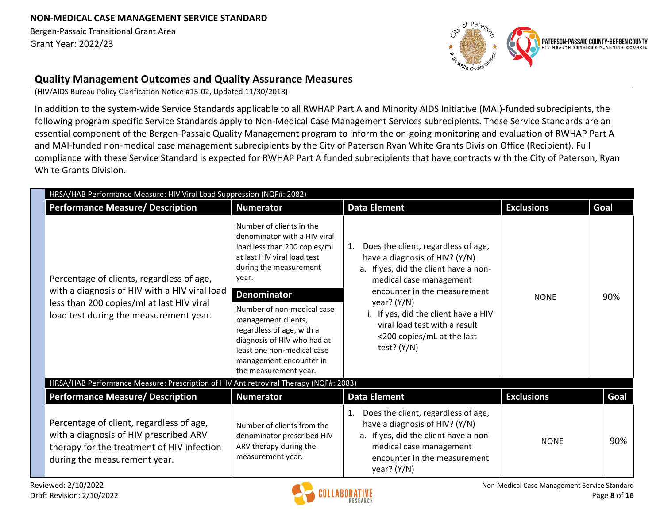

### **Quality Management Outcomes and Quality Assurance Measures**

(HIV/AIDS Bureau Policy Clarification Notice #15-02, Updated 11/30/2018)

In addition to the system-wide Service Standards applicable to all RWHAP Part A and Minority AIDS Initiative (MAI)-funded subrecipients, the following program specific Service Standards apply to Non-Medical Case Management Services subrecipients. These Service Standards are an essential component of the Bergen-Passaic Quality Management program to inform the on-going monitoring and evaluation of RWHAP Part A and MAI-funded non-medical case management subrecipients by the City of Paterson Ryan White Grants Division Office (Recipient). Full compliance with these Service Standard is expected for RWHAP Part A funded subrecipients that have contracts with the City of Paterson, Ryan White Grants Division.

| HRSA/HAB Performance Measure: HIV Viral Load Suppression (NQF#: 2082)                                                                                                             |                                                                                                                                                                                                                                                                                                                                                                                     |                                                                                                                                                                                                                                                                                                                          |                   |      |
|-----------------------------------------------------------------------------------------------------------------------------------------------------------------------------------|-------------------------------------------------------------------------------------------------------------------------------------------------------------------------------------------------------------------------------------------------------------------------------------------------------------------------------------------------------------------------------------|--------------------------------------------------------------------------------------------------------------------------------------------------------------------------------------------------------------------------------------------------------------------------------------------------------------------------|-------------------|------|
| <b>Performance Measure/ Description</b>                                                                                                                                           | <b>Numerator</b>                                                                                                                                                                                                                                                                                                                                                                    | <b>Data Element</b>                                                                                                                                                                                                                                                                                                      | <b>Exclusions</b> | Goal |
| Percentage of clients, regardless of age,<br>with a diagnosis of HIV with a HIV viral load<br>less than 200 copies/ml at last HIV viral<br>load test during the measurement year. | Number of clients in the<br>denominator with a HIV viral<br>load less than 200 copies/ml<br>at last HIV viral load test<br>during the measurement<br>year.<br><b>Denominator</b><br>Number of non-medical case<br>management clients,<br>regardless of age, with a<br>diagnosis of HIV who had at<br>least one non-medical case<br>management encounter in<br>the measurement year. | Does the client, regardless of age,<br>1.<br>have a diagnosis of HIV? (Y/N)<br>a. If yes, did the client have a non-<br>medical case management<br>encounter in the measurement<br>year? $(Y/N)$<br>i. If yes, did the client have a HIV<br>viral load test with a result<br><200 copies/mL at the last<br>test? $(Y/N)$ | <b>NONE</b>       | 90%  |
| HRSA/HAB Performance Measure: Prescription of HIV Antiretroviral Therapy (NQF#: 2083)                                                                                             |                                                                                                                                                                                                                                                                                                                                                                                     |                                                                                                                                                                                                                                                                                                                          |                   |      |
| <b>Performance Measure/ Description</b>                                                                                                                                           | <b>Numerator</b>                                                                                                                                                                                                                                                                                                                                                                    | <b>Data Element</b>                                                                                                                                                                                                                                                                                                      | <b>Exclusions</b> | Goal |
| Percentage of client, regardless of age,<br>with a diagnosis of HIV prescribed ARV<br>therapy for the treatment of HIV infection<br>during the measurement year.                  | Number of clients from the<br>denominator prescribed HIV<br>ARV therapy during the<br>measurement year.                                                                                                                                                                                                                                                                             | Does the client, regardless of age,<br>have a diagnosis of HIV? (Y/N)<br>a. If yes, did the client have a non-<br>medical case management<br>encounter in the measurement<br>year? $(Y/N)$                                                                                                                               | <b>NONE</b>       | 90%  |

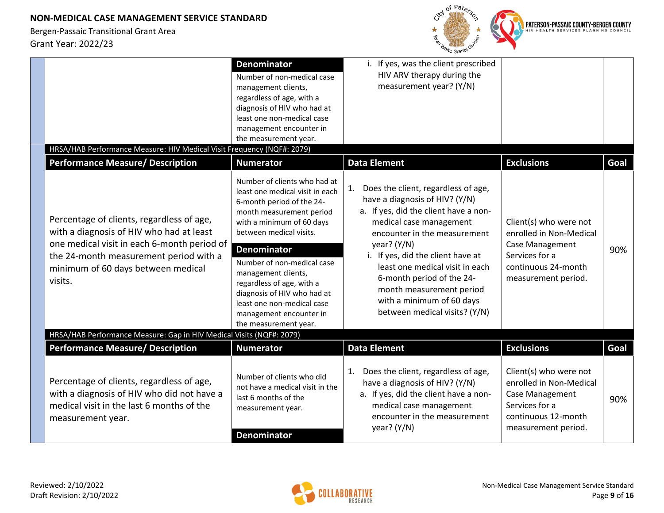

| HRSA/HAB Performance Measure: HIV Medical Visit Frequency (NQF#: 2079)                                                                                                                                                                                                     | <b>Denominator</b><br>management clients,                     | Number of non-medical case<br>regardless of age, with a<br>diagnosis of HIV who had at<br>least one non-medical case<br>management encounter in<br>the measurement year.                                                                                                                                                                                     | i. If yes, was the client prescribed<br>HIV ARV therapy during the<br>measurement year? (Y/N)                                                                                                                                                                                                                                                                                                                        |                                                                                                                                                           |             |
|----------------------------------------------------------------------------------------------------------------------------------------------------------------------------------------------------------------------------------------------------------------------------|---------------------------------------------------------------|--------------------------------------------------------------------------------------------------------------------------------------------------------------------------------------------------------------------------------------------------------------------------------------------------------------------------------------------------------------|----------------------------------------------------------------------------------------------------------------------------------------------------------------------------------------------------------------------------------------------------------------------------------------------------------------------------------------------------------------------------------------------------------------------|-----------------------------------------------------------------------------------------------------------------------------------------------------------|-------------|
| <b>Performance Measure/ Description</b><br>Percentage of clients, regardless of age,<br>with a diagnosis of HIV who had at least<br>one medical visit in each 6-month period of<br>the 24-month measurement period with a<br>minimum of 60 days between medical<br>visits. | <b>Numerator</b><br><b>Denominator</b><br>management clients, | Number of clients who had at<br>least one medical visit in each<br>6-month period of the 24-<br>month measurement period<br>with a minimum of 60 days<br>between medical visits.<br>Number of non-medical case<br>regardless of age, with a<br>diagnosis of HIV who had at<br>least one non-medical case<br>management encounter in<br>the measurement year. | <b>Data Element</b><br>Does the client, regardless of age,<br>1.<br>have a diagnosis of HIV? (Y/N)<br>a. If yes, did the client have a non-<br>medical case management<br>encounter in the measurement<br>year? (Y/N)<br>i. If yes, did the client have at<br>least one medical visit in each<br>6-month period of the 24-<br>month measurement period<br>with a minimum of 60 days<br>between medical visits? (Y/N) | <b>Exclusions</b><br>Client(s) who were not<br>enrolled in Non-Medical<br>Case Management<br>Services for a<br>continuous 24-month<br>measurement period. | Goal<br>90% |
| HRSA/HAB Performance Measure: Gap in HIV Medical Visits (NQF#: 2079)                                                                                                                                                                                                       |                                                               |                                                                                                                                                                                                                                                                                                                                                              |                                                                                                                                                                                                                                                                                                                                                                                                                      |                                                                                                                                                           |             |
| <b>Performance Measure/ Description</b>                                                                                                                                                                                                                                    | <b>Numerator</b>                                              |                                                                                                                                                                                                                                                                                                                                                              | <b>Data Element</b>                                                                                                                                                                                                                                                                                                                                                                                                  | <b>Exclusions</b>                                                                                                                                         | Goal        |
| Percentage of clients, regardless of age,<br>with a diagnosis of HIV who did not have a<br>medical visit in the last 6 months of the<br>measurement year.                                                                                                                  | last 6 months of the<br>measurement year.<br>Denominator      | Number of clients who did<br>not have a medical visit in the                                                                                                                                                                                                                                                                                                 | Does the client, regardless of age,<br>1.<br>have a diagnosis of HIV? (Y/N)<br>a. If yes, did the client have a non-<br>medical case management<br>encounter in the measurement<br>year? $(Y/N)$                                                                                                                                                                                                                     | Client(s) who were not<br>enrolled in Non-Medical<br>Case Management<br>Services for a<br>continuous 12-month<br>measurement period.                      | 90%         |

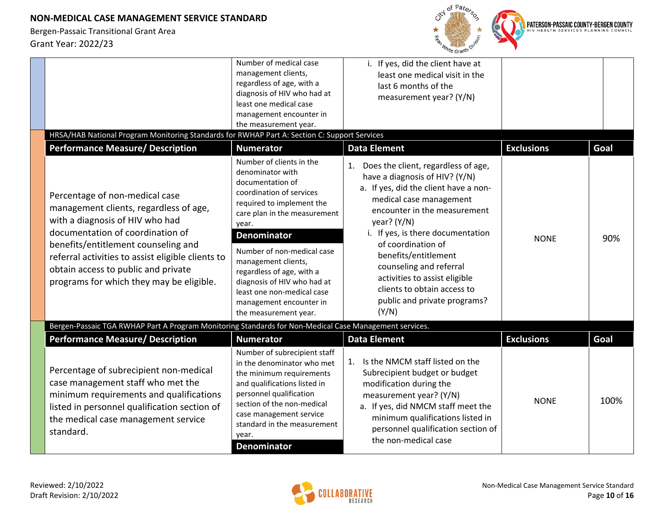

| Percentage of subrecipient non-medical<br>case management staff who met the<br>minimum requirements and qualifications<br>listed in personnel qualification section of<br>the medical case management service<br>standard.                                                                                                                                                                                                               | Number of subrecipient staff<br>in the denominator who met<br>the minimum requirements<br>and qualifications listed in<br>personnel qualification<br>section of the non-medical<br>case management service<br>standard in the measurement<br>year.<br><b>Denominator</b>                                                                                                                    | Is the NMCM staff listed on the<br>1.<br>Subrecipient budget or budget<br>modification during the<br>measurement year? (Y/N)<br>a. If yes, did NMCM staff meet the<br>minimum qualifications listed in<br>personnel qualification section of<br>the non-medical case                                                                                                                                                    | <b>NONE</b>       | 100% |
|------------------------------------------------------------------------------------------------------------------------------------------------------------------------------------------------------------------------------------------------------------------------------------------------------------------------------------------------------------------------------------------------------------------------------------------|---------------------------------------------------------------------------------------------------------------------------------------------------------------------------------------------------------------------------------------------------------------------------------------------------------------------------------------------------------------------------------------------|-------------------------------------------------------------------------------------------------------------------------------------------------------------------------------------------------------------------------------------------------------------------------------------------------------------------------------------------------------------------------------------------------------------------------|-------------------|------|
| <b>Performance Measure/ Description</b>                                                                                                                                                                                                                                                                                                                                                                                                  | <b>Numerator</b>                                                                                                                                                                                                                                                                                                                                                                            | <b>Data Element</b>                                                                                                                                                                                                                                                                                                                                                                                                     | <b>Exclusions</b> | Goal |
| Percentage of non-medical case<br>management clients, regardless of age,<br>with a diagnosis of HIV who had<br>documentation of coordination of<br>benefits/entitlement counseling and<br>referral activities to assist eligible clients to<br>obtain access to public and private<br>programs for which they may be eligible.<br>Bergen-Passaic TGA RWHAP Part A Program Monitoring Standards for Non-Medical Case Management services. | Number of clients in the<br>denominator with<br>documentation of<br>coordination of services<br>required to implement the<br>care plan in the measurement<br>year.<br><b>Denominator</b><br>Number of non-medical case<br>management clients,<br>regardless of age, with a<br>diagnosis of HIV who had at<br>least one non-medical case<br>management encounter in<br>the measurement year. | Does the client, regardless of age,<br>1.<br>have a diagnosis of HIV? (Y/N)<br>a. If yes, did the client have a non-<br>medical case management<br>encounter in the measurement<br>year? $(Y/N)$<br>i. If yes, is there documentation<br>of coordination of<br>benefits/entitlement<br>counseling and referral<br>activities to assist eligible<br>clients to obtain access to<br>public and private programs?<br>(Y/N) | <b>NONE</b>       | 90%  |
| HRSA/HAB National Program Monitoring Standards for RWHAP Part A: Section C: Support Services<br><b>Performance Measure/ Description</b>                                                                                                                                                                                                                                                                                                  | <b>Numerator</b>                                                                                                                                                                                                                                                                                                                                                                            | <b>Data Element</b>                                                                                                                                                                                                                                                                                                                                                                                                     | <b>Exclusions</b> | Goal |
|                                                                                                                                                                                                                                                                                                                                                                                                                                          | management encounter in<br>the measurement year.                                                                                                                                                                                                                                                                                                                                            |                                                                                                                                                                                                                                                                                                                                                                                                                         |                   |      |
|                                                                                                                                                                                                                                                                                                                                                                                                                                          | diagnosis of HIV who had at<br>least one medical case                                                                                                                                                                                                                                                                                                                                       | measurement year? (Y/N)                                                                                                                                                                                                                                                                                                                                                                                                 |                   |      |
|                                                                                                                                                                                                                                                                                                                                                                                                                                          | management clients,<br>regardless of age, with a                                                                                                                                                                                                                                                                                                                                            | least one medical visit in the<br>last 6 months of the                                                                                                                                                                                                                                                                                                                                                                  |                   |      |
|                                                                                                                                                                                                                                                                                                                                                                                                                                          | Number of medical case                                                                                                                                                                                                                                                                                                                                                                      | i. If yes, did the client have at                                                                                                                                                                                                                                                                                                                                                                                       |                   |      |

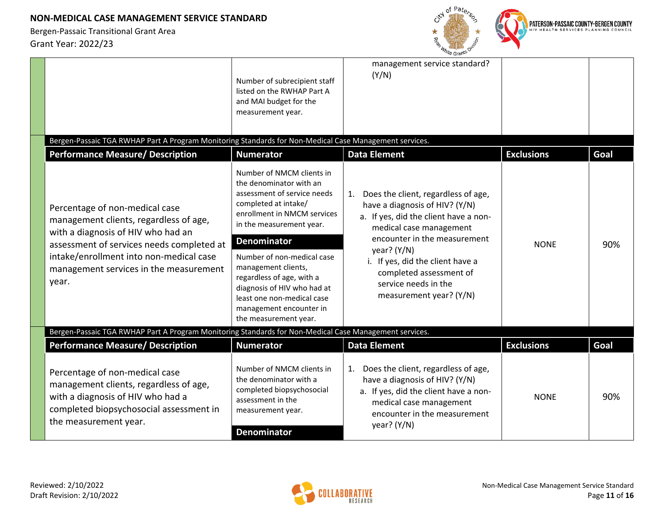

|                                                                                                                                                                                                                                                           | Number of subrecipient staff<br>listed on the RWHAP Part A<br>and MAI budget for the<br>measurement year.                                                                                                                                                                                                                                                                                       | management service standard?<br>(Y/N)                                                                                                                                                                                                                                                                        |                   |      |
|-----------------------------------------------------------------------------------------------------------------------------------------------------------------------------------------------------------------------------------------------------------|-------------------------------------------------------------------------------------------------------------------------------------------------------------------------------------------------------------------------------------------------------------------------------------------------------------------------------------------------------------------------------------------------|--------------------------------------------------------------------------------------------------------------------------------------------------------------------------------------------------------------------------------------------------------------------------------------------------------------|-------------------|------|
| Bergen-Passaic TGA RWHAP Part A Program Monitoring Standards for Non-Medical Case Management services.                                                                                                                                                    |                                                                                                                                                                                                                                                                                                                                                                                                 |                                                                                                                                                                                                                                                                                                              |                   |      |
| <b>Performance Measure/ Description</b>                                                                                                                                                                                                                   | <b>Numerator</b>                                                                                                                                                                                                                                                                                                                                                                                | <b>Data Element</b>                                                                                                                                                                                                                                                                                          | <b>Exclusions</b> | Goal |
| Percentage of non-medical case<br>management clients, regardless of age,<br>with a diagnosis of HIV who had an<br>assessment of services needs completed at<br>intake/enrollment into non-medical case<br>management services in the measurement<br>year. | Number of NMCM clients in<br>the denominator with an<br>assessment of service needs<br>completed at intake/<br>enrollment in NMCM services<br>in the measurement year.<br><b>Denominator</b><br>Number of non-medical case<br>management clients,<br>regardless of age, with a<br>diagnosis of HIV who had at<br>least one non-medical case<br>management encounter in<br>the measurement year. | Does the client, regardless of age,<br>have a diagnosis of HIV? (Y/N)<br>a. If yes, did the client have a non-<br>medical case management<br>encounter in the measurement<br>year? $(Y/N)$<br>i. If yes, did the client have a<br>completed assessment of<br>service needs in the<br>measurement year? (Y/N) | <b>NONE</b>       | 90%  |
| Bergen-Passaic TGA RWHAP Part A Program Monitoring Standards for Non-Medical Case Management services.                                                                                                                                                    |                                                                                                                                                                                                                                                                                                                                                                                                 |                                                                                                                                                                                                                                                                                                              |                   |      |
| <b>Performance Measure/ Description</b>                                                                                                                                                                                                                   | <b>Numerator</b>                                                                                                                                                                                                                                                                                                                                                                                | <b>Data Element</b>                                                                                                                                                                                                                                                                                          | <b>Exclusions</b> | Goal |
| Percentage of non-medical case<br>management clients, regardless of age,<br>with a diagnosis of HIV who had a<br>completed biopsychosocial assessment in<br>the measurement year.                                                                         | Number of NMCM clients in<br>the denominator with a<br>completed biopsychosocial<br>assessment in the<br>measurement year.<br><b>Denominator</b>                                                                                                                                                                                                                                                | Does the client, regardless of age,<br>1.<br>have a diagnosis of HIV? (Y/N)<br>a. If yes, did the client have a non-<br>medical case management<br>encounter in the measurement<br>year? $(Y/N)$                                                                                                             | <b>NONE</b>       | 90%  |

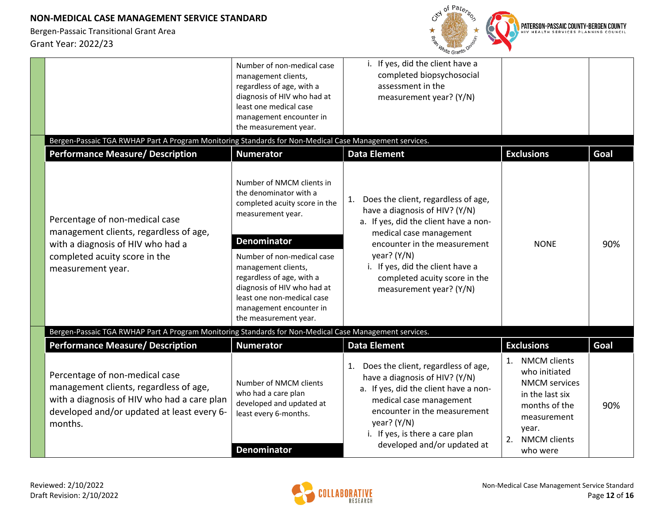

|                                                                                                                                                                                  | Number of non-medical case<br>management clients,<br>regardless of age, with a<br>diagnosis of HIV who had at<br>least one medical case<br>management encounter in<br>the measurement year.                                                                                                                                        | If yes, did the client have a<br>completed biopsychosocial<br>assessment in the<br>measurement year? (Y/N)                                                                                                                                                                                       |                                                                                                                                                             |      |
|----------------------------------------------------------------------------------------------------------------------------------------------------------------------------------|------------------------------------------------------------------------------------------------------------------------------------------------------------------------------------------------------------------------------------------------------------------------------------------------------------------------------------|--------------------------------------------------------------------------------------------------------------------------------------------------------------------------------------------------------------------------------------------------------------------------------------------------|-------------------------------------------------------------------------------------------------------------------------------------------------------------|------|
| Bergen-Passaic TGA RWHAP Part A Program Monitoring Standards for Non-Medical Case Management services.                                                                           |                                                                                                                                                                                                                                                                                                                                    |                                                                                                                                                                                                                                                                                                  |                                                                                                                                                             |      |
| <b>Performance Measure/ Description</b>                                                                                                                                          | <b>Numerator</b>                                                                                                                                                                                                                                                                                                                   | <b>Data Element</b>                                                                                                                                                                                                                                                                              | <b>Exclusions</b>                                                                                                                                           | Goal |
| Percentage of non-medical case<br>management clients, regardless of age,<br>with a diagnosis of HIV who had a<br>completed acuity score in the<br>measurement year.              | Number of NMCM clients in<br>the denominator with a<br>completed acuity score in the<br>measurement year.<br><b>Denominator</b><br>Number of non-medical case<br>management clients,<br>regardless of age, with a<br>diagnosis of HIV who had at<br>least one non-medical case<br>management encounter in<br>the measurement year. | Does the client, regardless of age,<br>1.<br>have a diagnosis of HIV? (Y/N)<br>a. If yes, did the client have a non-<br>medical case management<br>encounter in the measurement<br>year? $(Y/N)$<br>i. If yes, did the client have a<br>completed acuity score in the<br>measurement year? (Y/N) | <b>NONE</b>                                                                                                                                                 | 90%  |
| Bergen-Passaic TGA RWHAP Part A Program Monitoring Standards for Non-Medical Case Management services.                                                                           |                                                                                                                                                                                                                                                                                                                                    |                                                                                                                                                                                                                                                                                                  |                                                                                                                                                             |      |
| <b>Performance Measure/ Description</b>                                                                                                                                          | <b>Numerator</b>                                                                                                                                                                                                                                                                                                                   | <b>Data Element</b>                                                                                                                                                                                                                                                                              | <b>Exclusions</b>                                                                                                                                           | Goal |
| Percentage of non-medical case<br>management clients, regardless of age,<br>with a diagnosis of HIV who had a care plan<br>developed and/or updated at least every 6-<br>months. | Number of NMCM clients<br>who had a care plan<br>developed and updated at<br>least every 6-months.                                                                                                                                                                                                                                 | Does the client, regardless of age,<br>1.<br>have a diagnosis of HIV? (Y/N)<br>a. If yes, did the client have a non-<br>medical case management<br>encounter in the measurement<br>year? $(Y/N)$<br>i. If yes, is there a care plan<br>developed and/or updated at                               | <b>NMCM</b> clients<br>1.<br>who initiated<br><b>NMCM</b> services<br>in the last six<br>months of the<br>measurement<br>year.<br>2.<br><b>NMCM</b> clients | 90%  |
|                                                                                                                                                                                  | <b>Denominator</b>                                                                                                                                                                                                                                                                                                                 |                                                                                                                                                                                                                                                                                                  | who were                                                                                                                                                    |      |

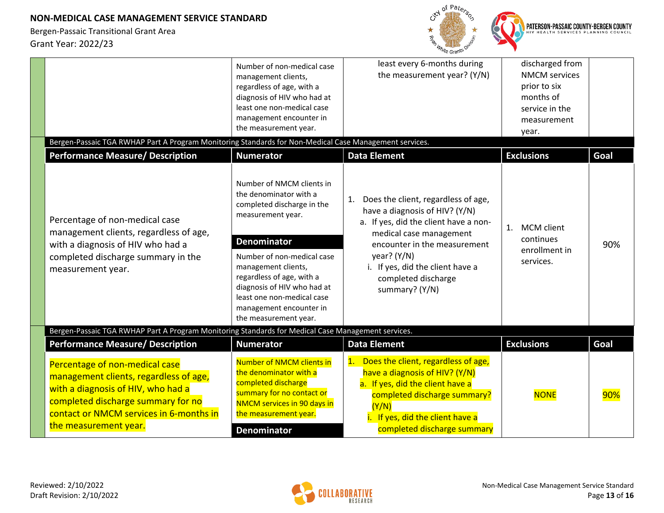

| Bergen-Passaic TGA RWHAP Part A Program Monitoring Standards for Non-Medical Case Management services.                                                                                                                   | Number of non-medical case<br>management clients,<br>regardless of age, with a<br>diagnosis of HIV who had at<br>least one non-medical case<br>management encounter in<br>the measurement year.                                                                                                                                 | least every 6-months during<br>the measurement year? (Y/N)                                                                                                                                                                                                                    | discharged from<br><b>NMCM</b> services<br>prior to six<br>months of<br>service in the<br>measurement<br>year. |      |
|--------------------------------------------------------------------------------------------------------------------------------------------------------------------------------------------------------------------------|---------------------------------------------------------------------------------------------------------------------------------------------------------------------------------------------------------------------------------------------------------------------------------------------------------------------------------|-------------------------------------------------------------------------------------------------------------------------------------------------------------------------------------------------------------------------------------------------------------------------------|----------------------------------------------------------------------------------------------------------------|------|
| <b>Performance Measure/ Description</b>                                                                                                                                                                                  | <b>Numerator</b>                                                                                                                                                                                                                                                                                                                | <b>Data Element</b>                                                                                                                                                                                                                                                           | <b>Exclusions</b>                                                                                              | Goal |
| Percentage of non-medical case<br>management clients, regardless of age,<br>with a diagnosis of HIV who had a<br>completed discharge summary in the<br>measurement year.                                                 | Number of NMCM clients in<br>the denominator with a<br>completed discharge in the<br>measurement year.<br><b>Denominator</b><br>Number of non-medical case<br>management clients,<br>regardless of age, with a<br>diagnosis of HIV who had at<br>least one non-medical case<br>management encounter in<br>the measurement year. | Does the client, regardless of age,<br>1.<br>have a diagnosis of HIV? (Y/N)<br>a. If yes, did the client have a non-<br>medical case management<br>encounter in the measurement<br>year? $(Y/N)$<br>i. If yes, did the client have a<br>completed discharge<br>summary? (Y/N) | <b>MCM</b> client<br>1.<br>continues<br>enrollment in<br>services.                                             | 90%  |
| Bergen-Passaic TGA RWHAP Part A Program Monitoring Standards for Medical Case Management services.<br><b>Performance Measure/ Description</b>                                                                            | <b>Numerator</b>                                                                                                                                                                                                                                                                                                                | <b>Data Element</b>                                                                                                                                                                                                                                                           | <b>Exclusions</b>                                                                                              | Goal |
| Percentage of non-medical case<br>management clients, regardless of age,<br>with a diagnosis of HIV, who had a<br>completed discharge summary for no<br>contact or NMCM services in 6-months in<br>the measurement year. | Number of NMCM clients in<br>the denominator with a<br>completed discharge<br>summary for no contact or<br><b>NMCM services in 90 days in</b><br>the measurement year.<br><b>Denominator</b>                                                                                                                                    | Does the client, regardless of age,<br>1.<br>have a diagnosis of HIV? (Y/N)<br>a. If yes, did the client have a<br>completed discharge summary?<br>(Y/N)<br>If yes, did the client have a<br>completed discharge summary                                                      | <b>NONE</b>                                                                                                    | 90%  |

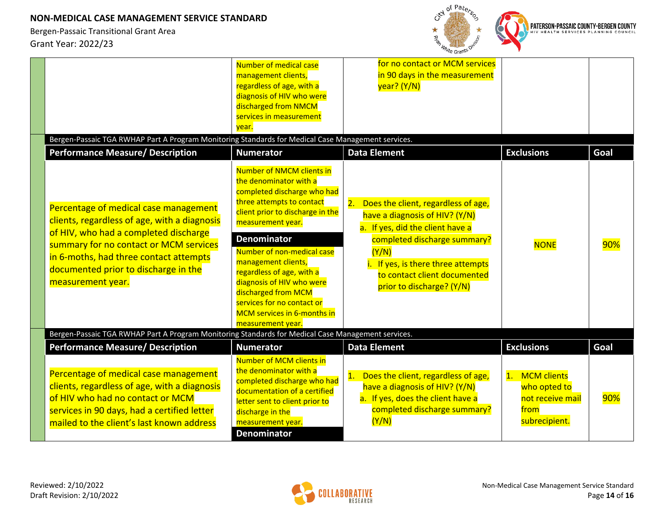

| Bergen-Passaic TGA RWHAP Part A Program Monitoring Standards for Medical Case Management services.                                                                                                                                                                              | Number of medical case<br>management clients,<br>regardless of age, with a<br>diagnosis of HIV who were<br>discharged from NMCM<br>services in measurement<br>year.                                                                                                                                                                                                                                                           | for no contact or MCM services<br>in 90 days in the measurement<br>year? (Y/N)                                                                                                                                                                              |                                                                                       |      |
|---------------------------------------------------------------------------------------------------------------------------------------------------------------------------------------------------------------------------------------------------------------------------------|-------------------------------------------------------------------------------------------------------------------------------------------------------------------------------------------------------------------------------------------------------------------------------------------------------------------------------------------------------------------------------------------------------------------------------|-------------------------------------------------------------------------------------------------------------------------------------------------------------------------------------------------------------------------------------------------------------|---------------------------------------------------------------------------------------|------|
| <b>Performance Measure/ Description</b>                                                                                                                                                                                                                                         | <b>Numerator</b>                                                                                                                                                                                                                                                                                                                                                                                                              | <b>Data Element</b>                                                                                                                                                                                                                                         | <b>Exclusions</b>                                                                     | Goal |
| Percentage of medical case management<br>clients, regardless of age, with a diagnosis<br>of HIV, who had a completed discharge<br>summary for no contact or MCM services<br>in 6-moths, had three contact attempts<br>documented prior to discharge in the<br>measurement year. | <b>Number of NMCM clients in</b><br>the denominator with a<br>completed discharge who had<br>three attempts to contact<br>client prior to discharge in the<br>measurement year.<br><b>Denominator</b><br>Number of non-medical case<br>management clients,<br>regardless of age, with a<br>diagnosis of HIV who were<br>discharged from MCM<br>services for no contact or<br>MCM services in 6-months in<br>measurement year. | Does the client, regardless of age,<br>2.<br>have a diagnosis of HIV? (Y/N)<br>a. If yes, did the client have a<br>completed discharge summary?<br>(Y/N)<br>i. If yes, is there three attempts<br>to contact client documented<br>prior to discharge? (Y/N) | <b>NONE</b>                                                                           | 90%  |
| Bergen-Passaic TGA RWHAP Part A Program Monitoring Standards for Medical Case Management services.<br><b>Performance Measure/ Description</b>                                                                                                                                   | <b>Numerator</b>                                                                                                                                                                                                                                                                                                                                                                                                              | <b>Data Element</b>                                                                                                                                                                                                                                         | <b>Exclusions</b>                                                                     | Goal |
| Percentage of medical case management<br>clients, regardless of age, with a diagnosis<br>of HIV who had no contact or MCM<br>services in 90 days, had a certified letter<br>mailed to the client's last known address                                                           | <b>Number of MCM clients in</b><br>the denominator with a<br>completed discharge who had<br>documentation of a certified<br>letter sent to client prior to<br>discharge in the<br>measurement year.<br><b>Denominator</b>                                                                                                                                                                                                     | Does the client, regardless of age,<br>1.<br>have a diagnosis of HIV? (Y/N)<br>a. If yes, does the client have a<br>completed discharge summary?<br>(Y/N)                                                                                                   | <b>MCM</b> clients<br>1.<br>who opted to<br>not receive mail<br>from<br>subrecipient. | 90%  |

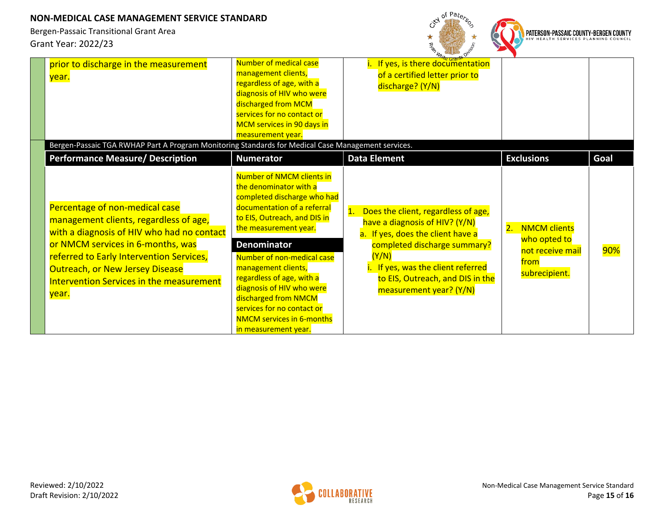

| prior to discharge in the measurement<br>year.                                                                                                                                                                                                                                                         | Number of medical case<br>management clients,<br>regardless of age, with a<br>diagnosis of HIV who were<br>discharged from MCM<br>services for no contact or<br>MCM services in 90 days in<br>measurement year.                                                                                                                                                                                                                   | <u>"<sup>Oite Gran</sup></u><br>If yes, is there documentation<br>of a certified letter prior to<br>discharge? (Y/N)                                                                                                                                  |                                                                                        |      |
|--------------------------------------------------------------------------------------------------------------------------------------------------------------------------------------------------------------------------------------------------------------------------------------------------------|-----------------------------------------------------------------------------------------------------------------------------------------------------------------------------------------------------------------------------------------------------------------------------------------------------------------------------------------------------------------------------------------------------------------------------------|-------------------------------------------------------------------------------------------------------------------------------------------------------------------------------------------------------------------------------------------------------|----------------------------------------------------------------------------------------|------|
| Bergen-Passaic TGA RWHAP Part A Program Monitoring Standards for Medical Case Management services.<br><b>Performance Measure/ Description</b>                                                                                                                                                          | <b>Numerator</b>                                                                                                                                                                                                                                                                                                                                                                                                                  | <b>Data Element</b>                                                                                                                                                                                                                                   | <b>Exclusions</b>                                                                      | Goal |
| Percentage of non-medical case<br>management clients, regardless of age,<br>with a diagnosis of HIV who had no contact<br>or NMCM services in 6-months, was<br>referred to Early Intervention Services,<br><b>Outreach, or New Jersey Disease</b><br>Intervention Services in the measurement<br>year. | Number of NMCM clients in<br>the denominator with a<br>completed discharge who had<br>documentation of a referral<br>to EIS, Outreach, and DIS in<br>the measurement year.<br><b>Denominator</b><br>Number of non-medical case<br>management clients,<br>regardless of age, with a<br>diagnosis of HIV who were<br>discharged from NMCM<br>services for no contact or<br><b>NMCM services in 6-months</b><br>in measurement year. | Does the client, regardless of age,<br>have a diagnosis of HIV? (Y/N)<br>a. If yes, does the client have a<br>completed discharge summary?<br>(Y/N)<br>If yes, was the client referred<br>to EIS, Outreach, and DIS in the<br>measurement year? (Y/N) | 2.<br><b>NMCM clients</b><br>who opted to<br>not receive mail<br>from<br>subrecipient. | 90%  |